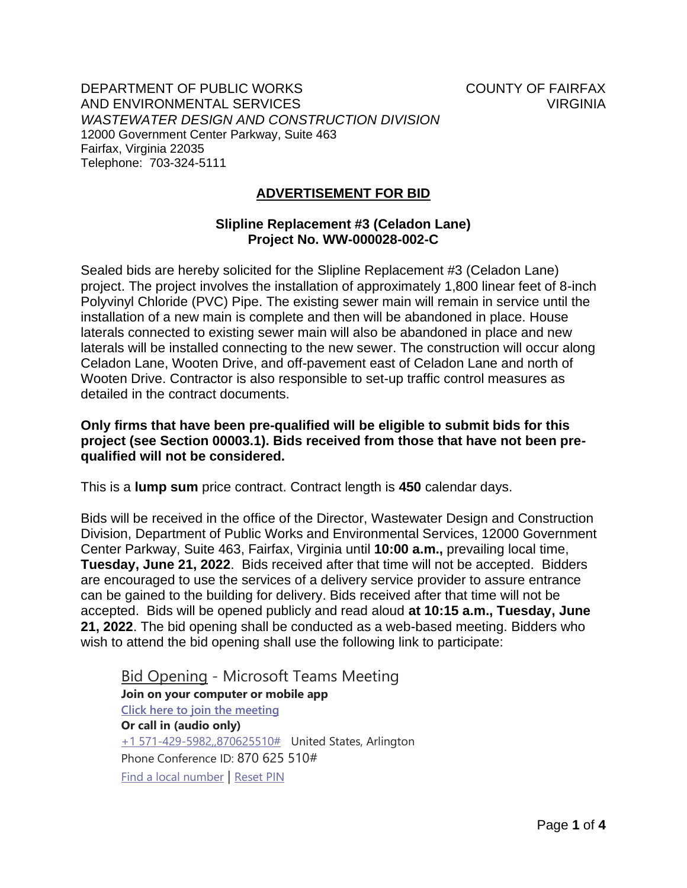DEPARTMENT OF PUBLIC WORKS COUNTY OF FAIRFAX AND ENVIRONMENTAL SERVICES VIRGINIA *WASTEWATER DESIGN AND CONSTRUCTION DIVISION* 12000 Government Center Parkway, Suite 463 Fairfax, Virginia 22035 Telephone: 703-324-5111

## **ADVERTISEMENT FOR BID**

## **Slipline Replacement #3 (Celadon Lane) Project No. WW-000028-002-C**

Sealed bids are hereby solicited for the Slipline Replacement #3 (Celadon Lane) project. The project involves the installation of approximately 1,800 linear feet of 8-inch Polyvinyl Chloride (PVC) Pipe. The existing sewer main will remain in service until the installation of a new main is complete and then will be abandoned in place. House laterals connected to existing sewer main will also be abandoned in place and new laterals will be installed connecting to the new sewer. The construction will occur along Celadon Lane, Wooten Drive, and off-pavement east of Celadon Lane and north of Wooten Drive. Contractor is also responsible to set-up traffic control measures as detailed in the contract documents.

## **Only firms that have been pre-qualified will be eligible to submit bids for this project (see Section 00003.1). Bids received from those that have not been prequalified will not be considered.**

This is a **lump sum** price contract. Contract length is **450** calendar days.

Bids will be received in the office of the Director, Wastewater Design and Construction Division, Department of Public Works and Environmental Services, 12000 Government Center Parkway, Suite 463, Fairfax, Virginia until **10:00 a.m.,** prevailing local time, **Tuesday, June 21, 2022**. Bids received after that time will not be accepted. Bidders are encouraged to use the services of a delivery service provider to assure entrance can be gained to the building for delivery. Bids received after that time will not be accepted. Bids will be opened publicly and read aloud **at 10:15 a.m., Tuesday, June 21, 2022**. The bid opening shall be conducted as a web-based meeting. Bidders who wish to attend the bid opening shall use the following link to participate:

Bid Opening - Microsoft Teams Meeting **Join on your computer or mobile app [Click here to join the meeting](https://teams.microsoft.com/l/meetup-join/19%3ameeting_MjgwYTEyMDgtYjY4ZS00NTQ1LWFjNTgtOTU2OTg2NWQ2Zjg1%40thread.v2/0?context=%7b%22Tid%22%3a%22a26156cb-5d6f-4172-9d7d-934eb0a7b275%22%2c%22Oid%22%3a%22b0e50084-61e9-45e4-a397-479397837031%22%7d) Or call in (audio only)** [+1 571-429-5982,,870625510#](tel:+15714295982,,870625510# ) United States, Arlington Phone Conference ID: 870 625 510# [Find a local number](https://dialin.teams.microsoft.com/e5b18791-4e42-4a82-bed2-216a0e93463a?id=870625510) | [Reset PIN](https://mysettings.lync.com/pstnconferencing)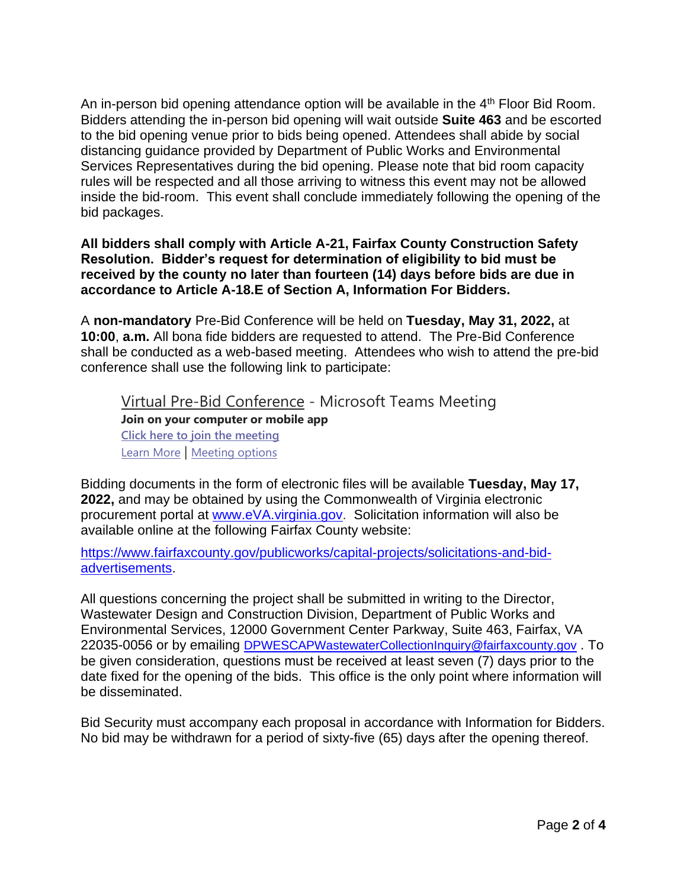An in-person bid opening attendance option will be available in the  $4<sup>th</sup>$  Floor Bid Room. Bidders attending the in-person bid opening will wait outside **Suite 463** and be escorted to the bid opening venue prior to bids being opened. Attendees shall abide by social distancing guidance provided by Department of Public Works and Environmental Services Representatives during the bid opening. Please note that bid room capacity rules will be respected and all those arriving to witness this event may not be allowed inside the bid-room. This event shall conclude immediately following the opening of the bid packages.

**All bidders shall comply with Article A-21, Fairfax County Construction Safety Resolution. Bidder's request for determination of eligibility to bid must be received by the county no later than fourteen (14) days before bids are due in accordance to Article A-18.E of Section A, Information For Bidders.**

A **non-mandatory** Pre-Bid Conference will be held on **Tuesday, May 31, 2022,** at **10:00**, **a.m.** All bona fide bidders are requested to attend. The Pre-Bid Conference shall be conducted as a web-based meeting. Attendees who wish to attend the pre-bid conference shall use the following link to participate:

Virtual Pre-Bid Conference - Microsoft Teams Meeting **Join on your computer or mobile app Click here to join the meeting** Learn More | Meeting options

Bidding documents in the form of electronic files will be available **Tuesday, May 17, 2022,** and may be obtained by using the Commonwealth of Virginia electronic procurement portal at www.eVA.virginia.gov. Solicitation information will also be available online at the following Fairfax County website:

https://www.fairfaxcounty.gov/publicworks/capital-projects/solicitations-and-bidadvertisements.

All questions concerning the project shall be submitted in writing to the Director, Wastewater Design and Construction Division, Department of Public Works and Environmental Services, 12000 Government Center Parkway, Suite 463, Fairfax, VA 22035-0056 or by emailing DPWESCAPWastewaterCollectionInquiry@fairfaxcounty.gov . To be given consideration, questions must be received at least seven (7) days prior to the date fixed for the opening of the bids. This office is the only point where information will be disseminated.

Bid Security must accompany each proposal in accordance with Information for Bidders. No bid may be withdrawn for a period of sixty-five (65) days after the opening thereof.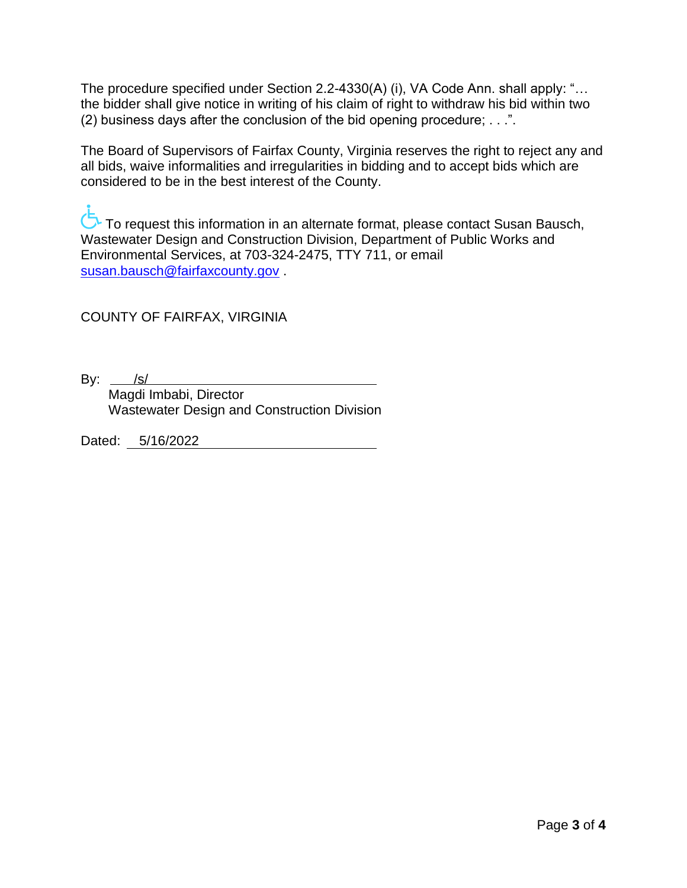The procedure specified under Section 2.2-4330(A) (i), VA Code Ann. shall apply: "… the bidder shall give notice in writing of his claim of right to withdraw his bid within two (2) business days after the conclusion of the bid opening procedure; . . .".

The Board of Supervisors of Fairfax County, Virginia reserves the right to reject any and all bids, waive informalities and irregularities in bidding and to accept bids which are considered to be in the best interest of the County.

To request this information in an alternate format, please contact Susan Bausch, Wastewater Design and Construction Division, Department of Public Works and Environmental Services, at 703-324-2475, TTY 711, or email susan.bausch@fairfaxcounty.gov .

COUNTY OF FAIRFAX, VIRGINIA

By:  $\frac{|s|}{|s|}$ 

 Magdi Imbabi, Director Wastewater Design and Construction Division

Dated: 5/16/2022